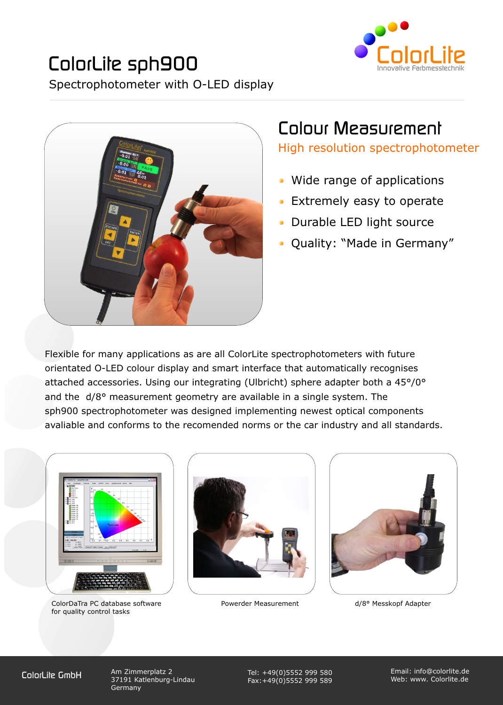



# Colour Measurement

High resolution spectrophotometer

- Wide range of applications
- Extremely easy to operate
- Durable LED light source
- Quality: "Made in Germany"

Flexible for many applications as are all ColorLite spectrophotometers with future orientated O-LED colour display and smart interface that automatically recognises attached accessories. Using our integrating (Ulbricht) sphere adapter both a 45°/0° and the d/8° measurement geometry are available in a single system. The sph900 spectrophotometer was designed implementing newest optical components avaliable and conforms to the recomended norms or the car industry and all standards.



ColorDaTra PC database software **Powerder Measurement** d/8° Messkopf Adapter for quality control tasks





ColorLite GmbH Am Zimmerplatz 2 37191 Katlenburg-Lindau Germany

Tel: +49(0)5552 999 580 Fax:+49(0)5552 999 589

Email: info@colorlite.de Web: www. Colorlite.de